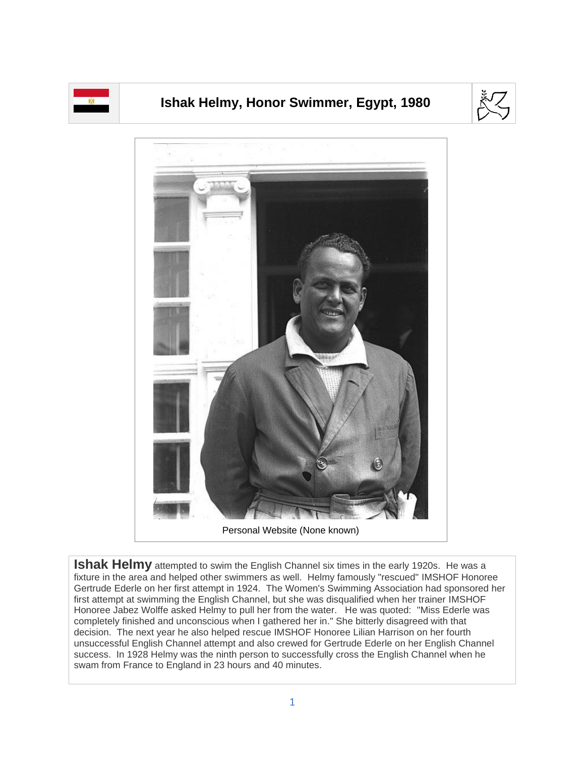

## **Ishak Helmy, Honor Swimmer, Egypt, 1980**





**Ishak Helmy** attempted to swim the English Channel six times in the early 1920s. He was a fixture in the area and helped other swimmers as well. Helmy famously "rescued" IMSHOF Honoree Gertrude Ederle on her first attempt in 1924. The Women's Swimming Association had sponsored her first attempt at swimming the English Channel, but she was disqualified when her trainer IMSHOF Honoree Jabez Wolffe asked Helmy to pull her from the water. He was quoted: "Miss Ederle was completely finished and unconscious when I gathered her in." She bitterly disagreed with that decision. The next year he also helped rescue IMSHOF Honoree Lilian Harrison on her fourth unsuccessful English Channel attempt and also crewed for Gertrude Ederle on her English Channel success. In 1928 Helmy was the ninth person to successfully cross the English Channel when he swam from France to England in 23 hours and 40 minutes.